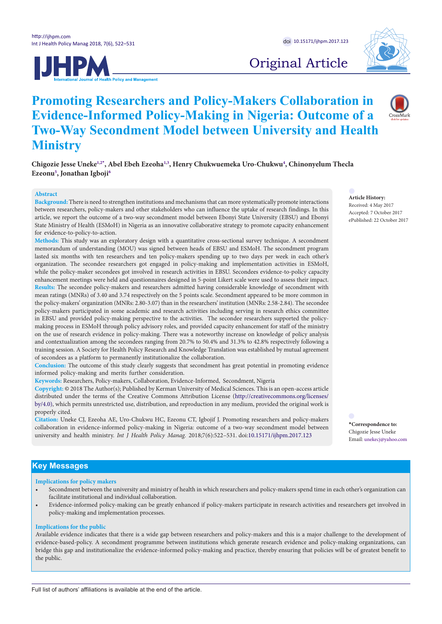



Original Article

# **Promoting Researchers and Policy-Makers Collaboration in Evidence-Informed Policy-Making in Nigeria: Outcome of a Two-Way Secondment Model between University and Health Ministry**

**Chigozie Jesse Uneke[1](#page-8-0),[2](#page-8-1)[\\*](#page-0-0) , Abel Ebeh Ezeoha[1](#page-8-0),[3](#page-8-2) , Henry Chukwuemeka Uro-Chukw[u4](#page-8-3) , Chinonyelum Thecla Ezeonu[5](#page-8-4) , Jonathan Igboj[i6](#page-8-5)**

#### **Abstract**

**Background:** There is need to strengthen institutions and mechanisms that can more systematically promote interactions between researchers, policy-makers and other stakeholders who can influence the uptake of research findings. In this article, we report the outcome of a two-way secondment model between Ebonyi State University (EBSU) and Ebonyi State Ministry of Health (ESMoH) in Nigeria as an innovative collaborative strategy to promote capacity enhancement for evidence-to-policy-to-action.

**Methods:** This study was an exploratory design with a quantitative cross-sectional survey technique. A secondment memorandum of understanding (MOU) was signed between heads of EBSU and ESMoH. The secondment program lasted six months with ten researchers and ten policy-makers spending up to two days per week in each other's organization. The secondee researchers got engaged in policy-making and implementation activities in ESMoH, while the policy-maker secondees got involved in research activities in EBSU. Secondees evidence-to-policy capacity enhancement meetings were held and questionnaires designed in 5-point Likert scale were used to assess their impact. **Results:** The secondee policy-makers and researchers admitted having considerable knowledge of secondment with mean ratings (MNRs) of 3.40 and 3.74 respectively on the 5 points scale. Secondment appeared to be more common in the policy-makers' organization (MNRs: 2.80-3.07) than in the researchers' institution (MNRs: 2.58-2.84). The secondee policy-makers participated in some academic and research activities including serving in research ethics committee in EBSU and provided policy-making perspective to the activities. The secondee researchers supported the policymaking process in ESMoH through policy advisory roles, and provided capacity enhancement for staff of the ministry on the use of research evidence in policy-making. There was a noteworthy increase on knowledge of policy analysis and contextualization among the secondees ranging from 20.7% to 50.4% and 31.3% to 42.8% respectively following a training session. A Society for Health Policy Research and Knowledge Translation was established by mutual agreement of secondees as a platform to permanently institutionalize the collaboration.

**Conclusion:** The outcome of this study clearly suggests that secondment has great potential in promoting evidence informed policy-making and merits further consideration.

**Keywords:** Researchers, Policy-makers, Collaboration, Evidence-Informed, Secondment, Nigeria

**Copyright:** © 2018 The Author(s); Published by Kerman University of Medical Sciences. This is an open-access article distributed under the terms of the Creative Commons Attribution License [\(http://creativecommons.org/licenses/](http://creativecommons.org/licenses/by/4.0) [by/4.0\)](http://creativecommons.org/licenses/by/4.0), which permits unrestricted use, distribution, and reproduction in any medium, provided the original work is properly cited.

**Citation:** Uneke CJ, Ezeoha AE, Uro-Chukwu HC, Ezeonu CT, Igbojif J. Promoting researchers and policy-makers collaboration in evidence-informed policy-making in Nigeria: outcome of a two-way secondment model between university and health ministry. *Int J Health Policy Manag.* 2018;7(6):522–531. doi[:10.15171/ijhpm.2017.123](https://doi.org/10.15171/ijhpm.2017.123)

<span id="page-0-0"></span>**\*Correspondence to:** Chigozie Jesse Uneke

## **Key Messages**

**Implications for policy makers**

- Secondment between the university and ministry of health in which researchers and policy-makers spend time in each other's organization can facilitate institutional and individual collaboration.
- Evidence-informed policy-making can be greatly enhanced if policy-makers participate in research activities and researchers get involved in policy-making and implementation processes.

#### **Implications for the public**

Available evidence indicates that there is a wide gap between researchers and policy-makers and this is a major challenge to the development of evidence-based-policy. A secondment programme between institutions which generate research evidence and policy-making organizations, can bridge this gap and institutionalize the evidence-informed policy-making and practice, thereby ensuring that policies will be of greatest benefit to the public.

#### **Article History:** Received: 4 May 2017 Accepted: 7 October 2017 ePublished: 22 October 2017

Email: unekecj@yahoo.com

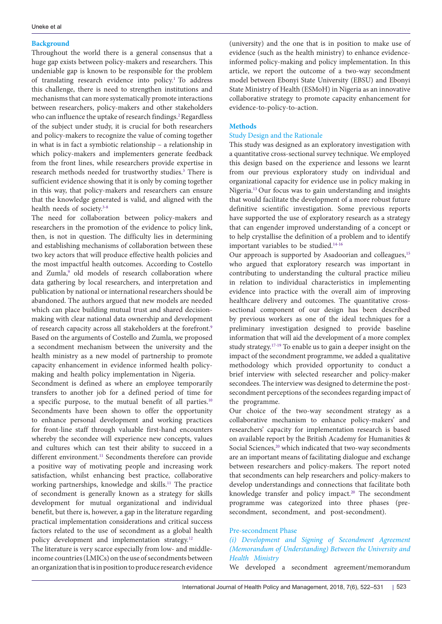## **Background**

Throughout the world there is a general consensus that a huge gap exists between policy-makers and researchers. This undeniable gap is known to be responsible for the problem of translating research evidence into policy.[1](#page-8-6) To address this challenge, there is need to strengthen institutions and mechanisms that can more systematically promote interactions between researchers, policy-makers and other stakeholders who can influence the uptake of research findings.<sup>[2](#page-8-7)</sup>Regardless of the subject under study, it is crucial for both researchers and policy-makers to recognize the value of coming together in what is in fact a symbiotic relationship – a relationship in which policy-makers and implementers generate feedback from the front lines, while researchers provide expertise in research methods needed for trustworthy studies.<sup>3</sup> There is sufficient evidence showing that it is only by coming together in this way, that policy-makers and researchers can ensure that the knowledge generated is valid, and aligned with the health needs of society.<sup>[3-](#page-8-8)[8](#page-8-9)</sup>

The need for collaboration between policy-makers and researchers in the promotion of the evidence to policy link, then, is not in question. The difficulty lies in determining and establishing mechanisms of collaboration between these two key actors that will produce effective health policies and the most impactful health outcomes. According to Costello and Zumla,<sup>9</sup> old models of research collaboration where data gathering by local researchers, and interpretation and publication by national or international researchers should be abandoned. The authors argued that new models are needed which can place building mutual trust and shared decisionmaking with clear national data ownership and development of research capacity across all stakeholders at the forefront[.9](#page-8-10) Based on the arguments of Costello and Zumla, we proposed a secondment mechanism between the university and the health ministry as a new model of partnership to promote capacity enhancement in evidence informed health policymaking and health policy implementation in Nigeria.

Secondment is defined as where an employee temporarily transfers to another job for a defined period of time for a specific purpose, to the mutual benefit of all parties.<sup>[10](#page-8-11)</sup> Secondments have been shown to offer the opportunity to enhance personal development and working practices for front-line staff through valuable first-hand encounters whereby the secondee will experience new concepts, values and cultures which can test their ability to succeed in a different environment.<sup>[11](#page-8-12)</sup> Secondments therefore can provide a positive way of motivating people and increasing work satisfaction, whilst enhancing best practice, collaborative working partnerships, knowledge and skills.<sup>11</sup> The practice of secondment is generally known as a strategy for skills development for mutual organizational and individual benefit, but there is, however, a gap in the literature regarding practical implementation considerations and critical success factors related to the use of secondment as a global health policy development and implementation strategy.<sup>12</sup>

The literature is very scarce especially from low- and middleincome countries (LMICs) on the use of secondments between an organization that is in position to produce research evidence

(university) and the one that is in position to make use of evidence (such as the health ministry) to enhance evidenceinformed policy-making and policy implementation. In this article, we report the outcome of a two-way secondment model between Ebonyi State University (EBSU) and Ebonyi State Ministry of Health (ESMoH) in Nigeria as an innovative collaborative strategy to promote capacity enhancement for evidence-to-policy-to-action.

# **Methods**

# Study Design and the Rationale

This study was designed as an exploratory investigation with a quantitative cross-sectional survey technique. We employed this design based on the experience and lessons we learnt from our previous exploratory study on individual and organizational capacity for evidence use in policy making in Nigeria.<sup>[13](#page-8-14)</sup> Our focus was to gain understanding and insights that would facilitate the development of a more robust future definitive scientific investigation. Some previous reports have supported the use of exploratory research as a strategy that can engender improved understanding of a concept or to help crystallise the definition of a problem and to identify important variables to be studied.<sup>[14](#page-8-15)[-16](#page-9-0)</sup>

Our approach is supported by Asadoorian and colleagues,<sup>15</sup> who argued that exploratory research was important in contributing to understanding the cultural practice milieu in relation to individual characteristics in implementing evidence into practice with the overall aim of improving healthcare delivery and outcomes. The quantitative crosssectional component of our design has been described by previous workers as one of the ideal techniques for a preliminary investigation designed to provide baseline information that will aid the development of a more complex study strategy.<sup>[17](#page-9-2)-19</sup> To enable us to gain a deeper insight on the impact of the secondment programme, we added a qualitative methodology which provided opportunity to conduct a brief interview with selected researcher and policy-maker secondees. The interview was designed to determine the postsecondment perceptions of the secondees regarding impact of the programme.

Our choice of the two-way secondment strategy as a collaborative mechanism to enhance policy-makers' and researchers' capacity for implementation research is based on available report by the British Academy for Humanities & Social Sciences,<sup>20</sup> which indicated that two-way secondments are an important means of facilitating dialogue and exchange between researchers and policy-makers. The report noted that secondments can help researchers and policy-makers to develop understandings and connections that facilitate both knowledge transfer and policy impact.<sup>[20](#page-9-4)</sup> The secondment programme was categorized into three phases (presecondment, secondment, and post-secondment).

# Pre-secondment Phase

*(i) Development and Signing of Secondment Agreement (Memorandum of Understanding) Between the University and Health Ministry*

We developed a secondment agreement/memorandum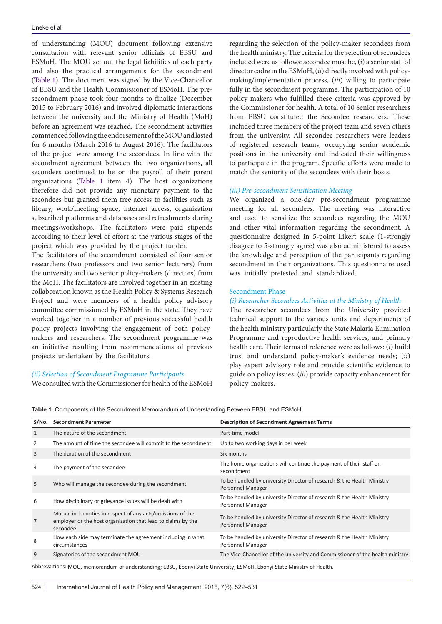of understanding (MOU) document following extensive consultation with relevant senior officials of EBSU and ESMoH. The MOU set out the legal liabilities of each party and also the practical arrangements for the secondment ([Table 1](#page-2-0)). The document was signed by the Vice-Chancellor of EBSU and the Health Commissioner of ESMoH. The presecondment phase took four months to finalize (December 2015 to February 2016) and involved diplomatic interactions between the university and the Ministry of Health (MoH) before an agreement was reached. The secondment activities commenced following the endorsement of the MOU and lasted for 6 months (March 2016 to August 2016). The facilitators of the project were among the secondees. In line with the secondment agreement between the two organizations, all secondees continued to be on the payroll of their parent organizations [\(Table 1](#page-2-0) item 4). The host organizations therefore did not provide any monetary payment to the secondees but granted them free access to facilities such as library, work/meeting space, internet access, organization subscribed platforms and databases and refreshments during meetings/workshops. The facilitators were paid stipends according to their level of effort at the various stages of the project which was provided by the project funder.

The facilitators of the secondment consisted of four senior researchers (two professors and two senior lecturers) from the university and two senior policy-makers (directors) from the MoH. The facilitators are involved together in an existing collaboration known as the Health Policy & Systems Research Project and were members of a health policy advisory committee commissioned by ESMoH in the state. They have worked together in a number of previous successful health policy projects involving the engagement of both policymakers and researchers. The secondment programme was an initiative resulting from recommendations of previous projects undertaken by the facilitators.

## *(ii) Selection of Secondment Programme Participants* We consulted with the Commissioner for health of the ESMoH

regarding the selection of the policy-maker secondees from the health ministry. The criteria for the selection of secondees included were as follows: secondee must be, (*i*) a senior staff of director cadre in the ESMoH, (*ii*) directly involved with policymaking/implementation process, (*iii*) willing to participate fully in the secondment programme. The participation of 10 policy-makers who fulfilled these criteria was approved by the Commissioner for health. A total of 10 Senior researchers from EBSU constituted the Secondee researchers. These included three members of the project team and seven others from the university. All secondee researchers were leaders of registered research teams, occupying senior academic positions in the university and indicated their willingness to participate in the program. Specific efforts were made to match the seniority of the secondees with their hosts.

#### *(iii) Pre-secondment Sensitization Meeting*

We organized a one-day pre-secondment programme meeting for all secondees. The meeting was interactive and used to sensitize the secondees regarding the MOU and other vital information regarding the secondment. A questionnaire designed in 5-point Likert scale (1-strongly disagree to 5-strongly agree) was also administered to assess the knowledge and perception of the participants regarding secondment in their organizations. This questionnaire used was initially pretested and standardized.

#### Secondment Phase

#### *(i) Researcher Secondees Activities at the Ministry of Health*

The researcher secondees from the University provided technical support to the various units and departments of the health ministry particularly the State Malaria Elimination Programme and reproductive health services, and primary health care. Their terms of reference were as follows: (*i*) build trust and understand policy-maker's evidence needs; (*ii*) play expert advisory role and provide scientific evidence to guide on policy issues; (*iii*) provide capacity enhancement for policy-makers.

<span id="page-2-0"></span>**Table 1**. Components of the Secondment Memorandum of Understanding Between EBSU and ESMoH

| S/No.                                                                                                         | <b>Secondment Parameter</b>                                                                                                            | <b>Description of Secondment Agreement Terms</b>                                            |  |  |
|---------------------------------------------------------------------------------------------------------------|----------------------------------------------------------------------------------------------------------------------------------------|---------------------------------------------------------------------------------------------|--|--|
| 1                                                                                                             | The nature of the secondment                                                                                                           | Part-time model                                                                             |  |  |
| 2                                                                                                             | The amount of time the secondee will commit to the secondment                                                                          | Up to two working days in per week                                                          |  |  |
| 3                                                                                                             | The duration of the secondment                                                                                                         | Six months                                                                                  |  |  |
| 4                                                                                                             | The payment of the secondee                                                                                                            | The home organizations will continue the payment of their staff on<br>secondment            |  |  |
| 5                                                                                                             | Who will manage the secondee during the secondment                                                                                     | To be handled by university Director of research & the Health Ministry<br>Personnel Manager |  |  |
| 6                                                                                                             | How disciplinary or grievance issues will be dealt with                                                                                | To be handled by university Director of research & the Health Ministry<br>Personnel Manager |  |  |
| 7                                                                                                             | Mutual indemnities in respect of any acts/omissions of the<br>employer or the host organization that lead to claims by the<br>secondee | To be handled by university Director of research & the Health Ministry<br>Personnel Manager |  |  |
| 8                                                                                                             | How each side may terminate the agreement including in what<br>circumstances                                                           | To be handled by university Director of research & the Health Ministry<br>Personnel Manager |  |  |
| 9                                                                                                             | Signatories of the secondment MOU                                                                                                      | The Vice-Chancellor of the university and Commissioner of the health ministry               |  |  |
| Alabama (Labama Angel III) et al. et la proprietat del contratto de possibilità del contratto del control del |                                                                                                                                        |                                                                                             |  |  |

Abbrevaitions: MOU, memorandum of understanding; EBSU, Ebonyi State University; ESMoH, Ebonyi State Ministry of Health.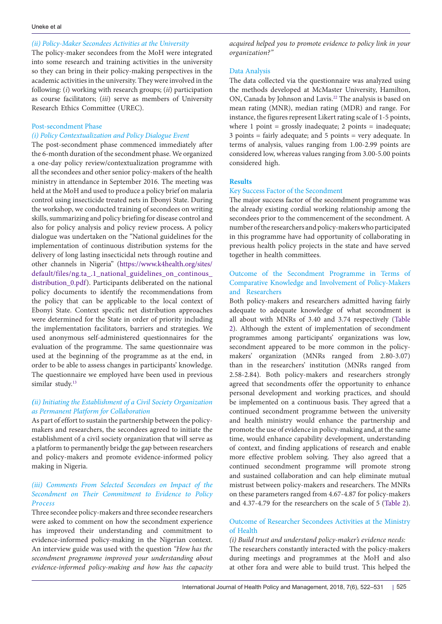## *(ii) Policy-Maker Secondees Activities at the University*

The policy-maker secondees from the MoH were integrated into some research and training activities in the university so they can bring in their policy-making perspectives in the academic activities in the university. They were involved in the following: (*i*) working with research groups; (*ii*) participation as course facilitators; (*iii*) serve as members of University Research Ethics Committee (UREC).

#### Post-secondment Phase

## *(i) Policy Contextualization and Policy Dialogue Event*

The post-secondment phase commenced immediately after the 6-month duration of the secondment phase. We organized a one-day policy review/contextualization programme with all the secondees and other senior policy-makers of the health ministry in attendance in September 2016. The meeting was held at the MoH and used to produce a policy brief on malaria control using insecticide treated nets in Ebonyi State. During the workshop, we conducted training of secondees on writing skills, summarizing and policy briefing for disease control and also for policy analysis and policy review process**.** A policy dialogue was undertaken on the "National guidelines for the implementation of continuous distribution systems for the delivery of long lasting insecticidal nets through routine and other channels in Nigeria" [\(https://www.k4health.org/sites/](https://www.k4health.org/sites/default/files/ng.ta_.1_national_guidelines_on_continous_distribution_0.pdf) default/files/ng.ta<sub>.1</sub>\_national\_guidelines\_on\_continous distribution 0.pdf). Participants deliberated on the national policy documents to identify the recommendations from the policy that can be applicable to the local context of Ebonyi State. Context specific net distribution approaches were determined for the State in order of priority including the implementation facilitators, barriers and strategies. We used anonymous self-administered questionnaires for the evaluation of the programme. The same questionnaire was used at the beginning of the programme as at the end, in order to be able to assess changes in participants' knowledge. The questionnaire we employed have been used in previous similar study. [13](#page-8-14)

## *(ii) Initiating the Establishment of a Civil Society Organization as Permanent Platform for Collaboration*

As part of effort to sustain the partnership between the policymakers and researchers, the secondees agreed to initiate the establishment of a civil society organization that will serve as a platform to permanently bridge the gap between researchers and policy-makers and promote evidence-informed policy making in Nigeria.

# *(iii) Comments From Selected Secondees on Impact of the Secondment on Their Commitment to Evidence to Policy Process*

Three secondee policy-makers and three secondee researchers were asked to comment on how the secondment experience has improved their understanding and commitment to evidence-informed policy-making in the Nigerian context. An interview guide was used with the question *"How has the secondment programme improved your understanding about evidence-informed policy-making and how has the capacity* *acquired helped you to promote evidence to policy link in your organization?"*

## Data Analysis

The data collected via the questionnaire was analyzed using the methods developed at McMaster University, Hamilton, ON, Canada by Johnson and Lavis. [22](#page-9-5) The analysis is based on mean rating (MNR), median rating (MDR) and range. For instance, the figures represent Likert rating scale of 1-5 points, where 1 point  $=$  grossly inadequate; 2 points  $=$  inadequate; 3 points = fairly adequate; and 5 points = very adequate. In terms of analysis, values ranging from 1.00-2.99 points are considered low, whereas values ranging from 3.00-5.00 points considered high.

## **Results**

## Key Success Factor of the Secondment

The major success factor of the secondment programme was the already existing cordial working relationship among the secondees prior to the commencement of the secondment. A number of the researchers and policy-makers who participated in this programme have had opportunity of collaborating in previous health policy projects in the state and have served together in health committees.

# Outcome of the Secondment Programme in Terms of Comparative Knowledge and Involvement of Policy-Makers and Researchers

Both policy-makers and researchers admitted having fairly adequate to adequate knowledge of what secondment is all about with MNRs of 3.40 and 3.74 respectively [\(Table](#page-4-0)  [2\)](#page-4-0). Although the extent of implementation of secondment programmes among participants' organizations was low, secondment appeared to be more common in the policymakers' organization (MNRs ranged from 2.80-3.07) than in the researchers' institution (MNRs ranged from 2.58-2.84). Both policy-makers and researchers strongly agreed that secondments offer the opportunity to enhance personal development and working practices, and should be implemented on a continuous basis. They agreed that a continued secondment programme between the university and health ministry would enhance the partnership and promote the use of evidence in policy-making and, at the same time, would enhance capability development, understanding of context, and finding applications of research and enable more effective problem solving. They also agreed that a continued secondment programme will promote strong and sustained collaboration and can help eliminate mutual mistrust between policy-makers and researchers. The MNRs on these parameters ranged from 4.67-4.87 for policy-makers and 4.37-4.79 for the researchers on the scale of 5 ([Table 2](#page-4-0)).

## Outcome of Researcher Secondees Activities at the Ministry of Health

*(i) Build trust and understand policy-maker's evidence needs:*  The researchers constantly interacted with the policy-makers during meetings and programmes at the MoH and also at other fora and were able to build trust. This helped the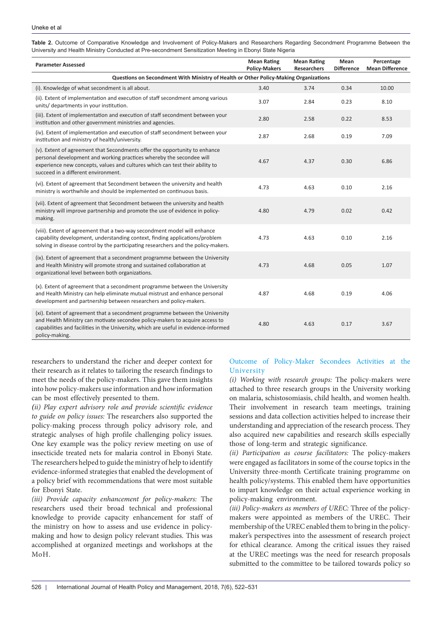| <b>Parameter Assessed</b>                                                                                                                                                                                                                                                 | <b>Mean Rating</b><br><b>Policy-Makers</b> | <b>Mean Rating</b><br>Researchers | Mean<br><b>Difference</b> | Percentage<br><b>Mean Difference</b> |  |  |
|---------------------------------------------------------------------------------------------------------------------------------------------------------------------------------------------------------------------------------------------------------------------------|--------------------------------------------|-----------------------------------|---------------------------|--------------------------------------|--|--|
| Questions on Secondment With Ministry of Health or Other Policy-Making Organizations                                                                                                                                                                                      |                                            |                                   |                           |                                      |  |  |
| (i). Knowledge of what secondment is all about.                                                                                                                                                                                                                           | 3.40                                       | 3.74                              | 0.34                      | 10.00                                |  |  |
| (ii). Extent of implementation and execution of staff secondment among various<br>units/ departments in your institution.                                                                                                                                                 | 3.07                                       | 2.84                              | 0.23                      | 8.10                                 |  |  |
| (iii). Extent of implementation and execution of staff secondment between your<br>institution and other government ministries and agencies.                                                                                                                               | 2.80                                       | 2.58                              | 0.22                      | 8.53                                 |  |  |
| (iv). Extent of implementation and execution of staff secondment between your<br>institution and ministry of health/university.                                                                                                                                           | 2.87                                       | 2.68                              | 0.19                      | 7.09                                 |  |  |
| (v). Extent of agreement that Secondments offer the opportunity to enhance<br>personal development and working practices whereby the secondee will<br>experience new concepts, values and cultures which can test their ability to<br>succeed in a different environment. | 4.67                                       | 4.37                              | 0.30                      | 6.86                                 |  |  |
| (vi). Extent of agreement that Secondment between the university and health<br>ministry is worthwhile and should be implemented on continuous basis.                                                                                                                      | 4.73                                       | 4.63                              | 0.10                      | 2.16                                 |  |  |
| (vii). Extent of agreement that Secondment between the university and health<br>ministry will improve partnership and promote the use of evidence in policy-<br>making.                                                                                                   | 4.80                                       | 4.79                              | 0.02                      | 0.42                                 |  |  |
| (viii). Extent of agreement that a two-way secondment model will enhance<br>capability development, understanding context, finding applications/problem<br>solving in disease control by the participating researchers and the policy-makers.                             | 4.73                                       | 4.63                              | 0.10                      | 2.16                                 |  |  |
| (ix). Extent of agreement that a secondment programme between the University<br>and Health Ministry will promote strong and sustained collaboration at<br>organizational level between both organizations.                                                                | 4.73                                       | 4.68                              | 0.05                      | 1.07                                 |  |  |
| (x). Extent of agreement that a secondment programme between the University<br>and Health Ministry can help eliminate mutual mistrust and enhance personal<br>development and partnership between researchers and policy-makers.                                          | 4.87                                       | 4.68                              | 0.19                      | 4.06                                 |  |  |
| (xi). Extent of agreement that a secondment programme between the University<br>and Health Ministry can motivate secondee policy-makers to acquire access to<br>capabilities and facilities in the University, which are useful in evidence-informed<br>policy-making.    | 4.80                                       | 4.63                              | 0.17                      | 3.67                                 |  |  |

<span id="page-4-0"></span>**Table 2.** Outcome of Comparative Knowledge and Involvement of Policy-Makers and Researchers Regarding Secondment Programme Between the University and Health Ministry Conducted at Pre-secondment Sensitization Meeting in Ebonyi State Nigeria

researchers to understand the richer and deeper context for their research as it relates to tailoring the research findings to meet the needs of the policy-makers. This gave them insights into howpolicy-makers use information and howinformation can be most effectively presented to them.

*(ii) Play expert advisory role and provide scientific evidence to guide on policy issues:* The researchers also supported the policy-making process through policy advisory role, and strategic analyses of high profile challenging policy issues. One key example was the policy review meeting on use of insecticide treated nets for malaria control in Ebonyi State. The researchers helped to guide the ministry of help to identify evidence-informed strategies that enabled the development of a policy brief with recommendations that were most suitable for Ebonyi State.

*(iii) Provide capacity enhancement for policy-makers:* The researchers used their broad technical and professional knowledge to provide capacity enhancement for staff of the ministry on how to assess and use evidence in policymaking and how to design policy relevant studies. This was accomplished at organized meetings and workshops at the MoH.

# Outcome of Policy-Maker Secondees Activities at the University

*(i) Working with research groups:* The policy-makers were attached to three research groups in the University working on malaria, schistosomiasis, child health, and women health. Their involvement in research team meetings, training sessions and data collection activities helped to increase their understanding and appreciation of the research process. They also acquired new capabilities and research skills especially those of long-term and strategic significance.

*(ii) Participation as course facilitators:* The policy-makers were engaged as facilitators in some of the course topics in the University three-month Certificate training programme on health policy/systems. This enabled them have opportunities to impart knowledge on their actual experience working in policy-making environment.

*(iii) Policy-makers as members of UREC:* Three of the policymakers were appointed as members of the UREC. Their membership of the UREC enabled them to bring in the policymaker's perspectives into the assessment of research project for ethical clearance. Among the critical issues they raised at the UREC meetings was the need for research proposals submitted to the committee to be tailored towards policy so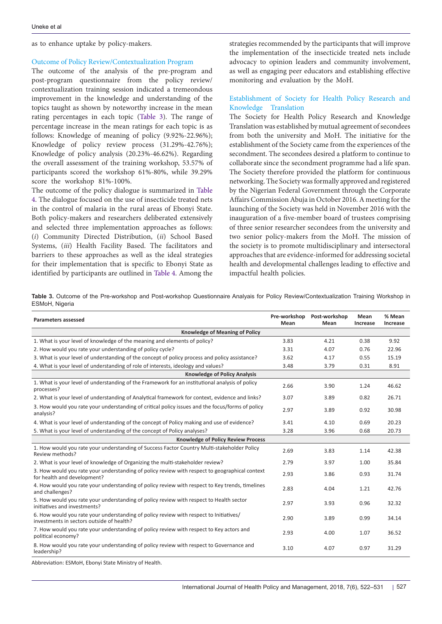as to enhance uptake by policy-makers.

#### Outcome of Policy Review/Contextualization Program

The outcome of the analysis of the pre-program and post-program questionnaire from the policy review/ contextualization training session indicated a tremeondous improvement in the knowledge and understanding of the topics taught as shown by noteworthy increase in the mean rating percentages in each topic [\(Table 3](#page-5-0)). The range of percentage increase in the mean ratings for each topic is as follows: Knowledge of meaning of policy (9.92%-22.96%); Knowledge of policy review process (31.29%-42.76%); Knowledge of policy analysis (20.23%-46.62%). Regarding the overall assessment of the training workshop, 53.57% of participants scored the workshop 61%-80%, while 39.29% score the workshop 81%-100%.

The outcome of the policy dialogue is summarized in [Table](#page-6-0) [4](#page-6-0). The dialogue focused on the use of insecticide treated nets in the control of malaria in the rural areas of Ebonyi State. Both policy-makers and researchers deliberated extensively and selected three implementation approaches as follows: (*i*) Community Directed Distribution, (*ii*) School Based Systems, (*iii*) Health Facility Based. The facilitators and barriers to these approaches as well as the ideal strategies for their implementation that is specific to Ebonyi State as identified by participants are outlined in [Table 4](#page-6-0). Among the

strategies recommended by the participants that will improve the implementation of the insecticide treated nets include advocacy to opinion leaders and community involvement, as well as engaging peer educators and establishing effective monitoring and evaluation by the MoH.

#### Establishment of Society for Health Policy Research and Knowledge Translation

The Society for Health Policy Research and Knowledge Translation was established by mutual agreement of secondees from both the university and MoH. The initiative for the establishment of the Society came from the experiences of the secondment. The secondees desired a platform to continue to collaborate since the secondment programme had a life span. The Society therefore provided the platform for continuous networking. The Society was formally approved and registered by the Nigerian Federal Government through the Corporate Affairs Commission Abuja in October 2016. A meeting for the launching of the Society was held in November 2016 with the inauguration of a five-member board of trustees comprising of three senior researcher secondees from the university and two senior policy-makers from the MoH. The mission of the society is to promote multidisciplinary and intersectoral approaches that are evidence-informed for addressing societal health and developmental challenges leading to effective and impactful health policies.

<span id="page-5-0"></span>**Table 3.** Outcome of the Pre-workshop and Post-workshop Questionnaire Analyais for Policy Review/Contextualization Training Workshop in ESMoH, Nigeria

| <b>Parameters assessed</b>                                                                                                          | Pre-workshop<br>Mean | Post-workshop<br>Mean | Mean<br>Increase | % Mean<br>Increase |  |  |  |  |
|-------------------------------------------------------------------------------------------------------------------------------------|----------------------|-----------------------|------------------|--------------------|--|--|--|--|
| <b>Knowledge of Meaning of Policy</b>                                                                                               |                      |                       |                  |                    |  |  |  |  |
| 1. What is your level of knowledge of the meaning and elements of policy?                                                           | 3.83                 | 4.21                  | 0.38             | 9.92               |  |  |  |  |
| 2. How would you rate your understanding of policy cycle?                                                                           | 3.31                 | 4.07                  | 0.76             | 22.96              |  |  |  |  |
| 3. What is your level of understanding of the concept of policy process and policy assistance?                                      | 3.62                 | 4.17                  | 0.55             | 15.19              |  |  |  |  |
| 4. What is your level of understanding of role of interests, ideology and values?                                                   | 3.48                 | 3.79                  | 0.31             | 8.91               |  |  |  |  |
| <b>Knowledge of Policy Analysis</b>                                                                                                 |                      |                       |                  |                    |  |  |  |  |
| 1. What is your level of understanding of the Framework for an institutional analysis of policy<br>processes?                       | 2.66                 | 3.90                  | 1.24             | 46.62              |  |  |  |  |
| 2. What is your level of understanding of Analytical framework for context, evidence and links?                                     | 3.07                 | 3.89                  | 0.82             | 26.71              |  |  |  |  |
| 3. How would you rate your understanding of critical policy issues and the focus/forms of policy<br>analysis?                       | 2.97                 | 3.89                  | 0.92             | 30.98              |  |  |  |  |
| 4. What is your level of understanding of the concept of Policy making and use of evidence?                                         | 3.41                 | 4.10                  | 0.69             | 20.23              |  |  |  |  |
| 5. What is your level of understanding of the concept of Policy analyses?                                                           | 3.28                 | 3.96                  | 0.68             | 20.73              |  |  |  |  |
| <b>Knowledge of Policy Review Process</b>                                                                                           |                      |                       |                  |                    |  |  |  |  |
| 1. How would you rate your understanding of Success Factor Country Multi-stakeholder Policy<br>Review methods?                      | 2.69                 | 3.83                  | 1.14             | 42.38              |  |  |  |  |
| 2. What is your level of knowledge of Organizing the multi-stakeholder review?                                                      | 2.79                 | 3.97                  | 1.00             | 35.84              |  |  |  |  |
| 3. How would you rate your understanding of policy review with respect to geographical context<br>for health and development?       | 2.93                 | 3.86                  | 0.93             | 31.74              |  |  |  |  |
| 4. How would you rate your understanding of policy review with respect to Key trends, timelines<br>and challenges?                  | 2.83                 | 4.04                  | 1.21             | 42.76              |  |  |  |  |
| 5. How would you rate your understanding of policy review with respect to Health sector<br>initiatives and investments?             | 2.97                 | 3.93                  | 0.96             | 32.32              |  |  |  |  |
| 6. How would you rate your understanding of policy review with respect to Initiatives/<br>investments in sectors outside of health? | 2.90                 | 3.89                  | 0.99             | 34.14              |  |  |  |  |
| 7. How would you rate your understanding of policy review with respect to Key actors and<br>political economy?                      | 2.93                 | 4.00                  | 1.07             | 36.52              |  |  |  |  |
| 8. How would you rate your understanding of policy review with respect to Governance and<br>leadership?                             | 3.10                 | 4.07                  | 0.97             | 31.29              |  |  |  |  |

Abbreviation: ESMoH, Ebonyi State Ministry of Health.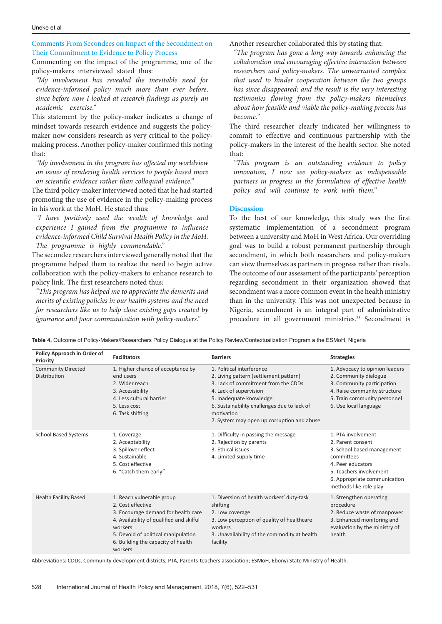#### Uneke et al

Comments From Secondees on Impact of the Secondment on Their Commitment to Evidence to Policy Process

Commenting on the impact of the programme, one of the policy-makers interviewed stated thus:

*"My involvement has revealed the inevitable need for evidence-informed policy much more than ever before, since before now I looked at research findings as purely an academic exercise."*

This statement by the policy-maker indicates a change of mindset towards research evidence and suggests the policymaker now considers research as very critical to the policymaking process. Another policy-maker confirmed this noting that:

*"My involvement in the program has affected my worldview on issues of rendering health services to people based more on scientific evidence rather than colloquial evidence."*

The third policy-maker interviewed noted that he had started promoting the use of evidence in the policy-making process in his work at the MoH. He stated thus:

*"I have positively used the wealth of knowledge and experience I gained from the programme to influence evidence-informed Child Survival Health Policy in the MoH. The programme is highly commendable."* 

The secondee researchers interviewed generally noted that the programme helped them to realize the need to begin active collaboration with the policy-makers to enhance research to policy link. The first researchers noted thus:

*"This program has helped me to appreciate the demerits and merits of existing policies in our health systems and the need for researchers like us to help close existing gaps created by ignorance and poor communication with policy-makers."* 

Another researcher collaborated this by stating that:

*"The program has gone a long way towards enhancing the collaboration and encouraging effective interaction between researchers and policy-makers. The unwarranted complex that used to hinder cooperation between the two groups has since disappeared; and the result is the very interesting testimonies flowing from the policy-makers themselves about how feasible and viable the policy-making process has become."*

The third researcher clearly indicated her willingness to commit to effective and continuous partnership with the policy-makers in the interest of the health sector. She noted that:

*"This program is an outstanding evidence to policy innovation, I now see policy-makers as indispensable partners in progress in the formulation of effective health policy and will continue to work with them."*

#### **Discussion**

To the best of our knowledge, this study was the first systematic implementation of a secondment program between a university and MoH in West Africa. Our overriding goal was to build a robust permanent partnership through secondment, in which both researchers and policy-makers can view themselves as partners in progress rather than rivals. The outcome of our assessment of the participants' perception regarding secondment in their organization showed that secondment was a more common event in the health ministry than in the university. This was not unexpected because in Nigeria, secondment is an integral part of administrative procedure in all government ministries. [23](#page-9-6) Secondment is

<span id="page-6-0"></span>**Table 4.** Outcome of Policy-Makers/Researchers Policy Dialogue at the Policy Review/Contextualization Program a the ESMoH, Nigeria

| Policy Approach in Order of<br>Priority   | <b>Facilitators</b>                                                                                                                                                                                                                  | <b>Barriers</b>                                                                                                                                                                                                                                                            | <b>Strategies</b>                                                                                                                                                                             |
|-------------------------------------------|--------------------------------------------------------------------------------------------------------------------------------------------------------------------------------------------------------------------------------------|----------------------------------------------------------------------------------------------------------------------------------------------------------------------------------------------------------------------------------------------------------------------------|-----------------------------------------------------------------------------------------------------------------------------------------------------------------------------------------------|
| <b>Community Directed</b><br>Distribution | 1. Higher chance of acceptance by<br>end users<br>2. Wider reach<br>3. Accessibility<br>4. Less cultural barrier<br>5. Less cost<br>6. Task shifting                                                                                 | 1. Political interference<br>2. Living pattern (settlement pattern)<br>3. Lack of commitment from the CDDs<br>4. Lack of supervision<br>5. Inadequate knowledge<br>6. Sustainability challenges due to lack of<br>motivation<br>7. System may open up corruption and abuse | 1. Advocacy to opinion leaders<br>2. Community dialogue<br>3. Community participation<br>4. Raise community structure<br>5. Train community personnel<br>6. Use local language                |
| <b>School Based Systems</b>               | 1. Coverage<br>2. Acceptability<br>3. Spillover effect<br>4. Sustainable<br>5. Cost effective<br>6. "Catch them early"                                                                                                               | 1. Difficulty in passing the message<br>2. Rejection by parents<br>3. Ethical issues<br>4. Limited supply time                                                                                                                                                             | 1. PTA involvement<br>2. Parent consent<br>3. School based management<br>committees<br>4. Peer educators<br>5. Teachers involvement<br>6. Appropriate communication<br>methods like role play |
| <b>Health Facility Based</b>              | 1. Reach vulnerable group<br>2. Cost effective<br>3. Encourage demand for health care<br>4. Availability of qualified and skilful<br>workers<br>5. Devoid of political manipulation<br>6. Building the capacity of health<br>workers | 1. Diversion of health workers' duty-task<br>shifting<br>2. Low coverage<br>3. Low perception of quality of healthcare<br>workers<br>3. Unavailability of the commodity at health<br>facility                                                                              | 1. Strengthen operating<br>procedure<br>2. Reduce waste of manpower<br>3. Enhanced monitoring and<br>evaluation by the ministry of<br>health                                                  |

Abbreviations: CDDs, Community development districts; PTA, Parents-teachers association; ESMoH, Ebonyi State Ministry of Health.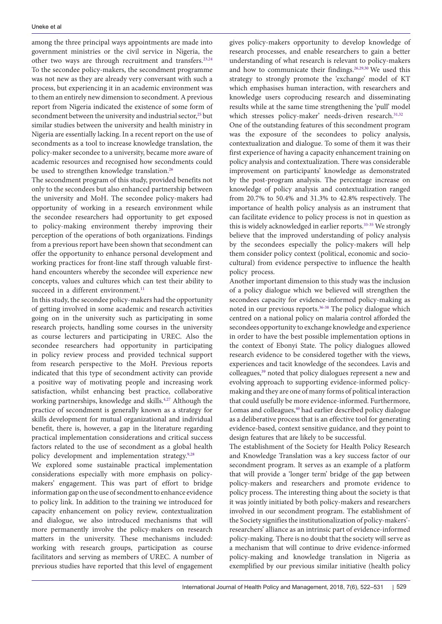among the three principal ways appointments are made into government ministries or the civil service in Nigeria, the other two ways are through recruitment and transfers.<sup>[23](#page-9-6),[24](#page-9-7)</sup> To the secondee policy-makers, the secondment programme was not new as they are already very conversant with such a process, but experiencing it in an academic environment was to them an entirely new dimension to secondment. A previous report from Nigeria indicated the existence of some form of secondment between the university and industrial sector,<sup>[25](#page-9-8)</sup> but similar studies between the university and health ministry in Nigeria are essentially lacking. In a recent report on the use of secondments as a tool to increase knowledge translation, the policy-maker secondee to a university, became more aware of academic resources and recognised how secondments could be used to strengthen knowledge translation.<sup>[26](#page-9-9)</sup>

The secondment program of this study, provided benefits not only to the secondees but also enhanced partnership between the university and MoH. The secondee policy-makers had opportunity of working in a research environment while the secondee researchers had opportunity to get exposed to policy-making environment thereby improving their perception of the operations of both organizations. Findings from a previous report have been shown that secondment can offer the opportunity to enhance personal development and working practices for front-line staff through valuable firsthand encounters whereby the secondee will experience new concepts, values and cultures which can test their ability to succeed in a different environment.<sup>[11](#page-8-12)</sup>

In this study, the secondee policy-makers had the opportunity of getting involved in some academic and research activities going on in the university such as participating in some research projects, handling some courses in the university as course lecturers and participating in UREC. Also the secondee researchers had opportunity in participating in policy review process and provided technical support from research perspective to the MoH. Previous reports indicated that this type of secondment activity can provide a positive way of motivating people and increasing work satisfaction, whilst enhancing best practice, collaborative working partnerships, knowledge and skills.<sup>4,27</sup> Although the practice of secondment is generally known as a strategy for skills development for mutual organizational and individual benefit, there is, however, a gap in the literature regarding practical implementation considerations and critical success factors related to the use of secondment as a global health policy development and implementation strategy.<sup>9[,28](#page-9-11)</sup>

We explored some sustainable practical implementation considerations especially with more emphasis on policymakers' engagement. This was part of effort to bridge information gap on the use of secondment to enhance evidence to policy link. In addition to the training we introduced for capacity enhancement on policy review, contextualization and dialogue, we also introduced mechanisms that will more permanently involve the policy-makers on research matters in the university. These mechanisms included: working with research groups, participation as course facilitators and serving as members of UREC. A number of previous studies have reported that this level of engagement gives policy-makers opportunity to develop knowledge of research processes, and enable researchers to gain a better understanding of what research is relevant to policy-makers and how to communicate their findings.<sup>26,[29,](#page-9-12)[30](#page-9-13)</sup> We used this strategy to strongly promote the 'exchange' model of KT which emphasises human interaction, with researchers and knowledge users coproducing research and disseminating results while at the same time strengthening the 'pull' model which stresses policy-maker' needs-driven research.<sup>31[,32](#page-9-15)</sup>

One of the outstanding features of this secondment program was the exposure of the secondees to policy analysis, contextualization and dialogue. To some of them it was their first experience of having a capacity enhancement training on policy analysis and contextualization. There was considerable improvement on participants' knowledge as demonstrated by the post-program analysis. The percentage increase on knowledge of policy analysis and contextualization ranged from 20.7% to 50.4% and 31.3% to 42.8% respectively. The importance of health policy analysis as an instrument that can facilitate evidence to policy process is not in question as this is widely acknowledged in earlier reports.<sup>[33-](#page-9-16)[35](#page-9-17)</sup> We strongly believe that the improved understanding of policy analysis by the secondees especially the policy-makers will help them consider policy context (political, economic and sociocultural) from evidence perspective to influence the health policy process.

Another important dimension to this study was the inclusion of a policy dialogue which we believed will strengthen the secondees capacity for evidence-informed policy-making as noted in our previous reports.<sup>[36-](#page-9-18)[38](#page-9-19)</sup> The policy dialogue which centred on a national policy on malaria control afforded the secondees opportunity to exchange knowledge and experience in order to have the best possible implementation options in the context of Ebonyi State. The policy dialogues allowed research evidence to be considered together with the views, experiences and tacit knowledge of the secondees. Lavis and colleagues,<sup>39</sup> noted that policy dialogues represent a new and evolving approach to supporting evidence-informed policymaking and they are one of many forms of political interaction that could usefully be more evidence-informed. Furthermore, Lomas and colleagues,<sup>40</sup> had earlier described policy dialogue as a deliberative process that is an effective tool for generating evidence-based, context sensitive guidance, and they point to design features that are likely to be successful.

The establishment of the Society for Health Policy Research and Knowledge Translation was a key success factor of our secondment program. It serves as an example of a platform that will provide a 'longer term' bridge of the gap between policy-makers and researchers and promote evidence to policy process. The interesting thing about the society is that it was jointly initiated by both policy-makers and researchers involved in our secondment program. The establishment of the Society signifies the institutionalization of policy-makers'researchers' alliance as an intrinsic part of evidence-informed policy-making. There is no doubt that the society will serve as a mechanism that will continue to drive evidence-informed policy-making and knowledge translation in Nigeria as exemplified by our previous similar initiative (health policy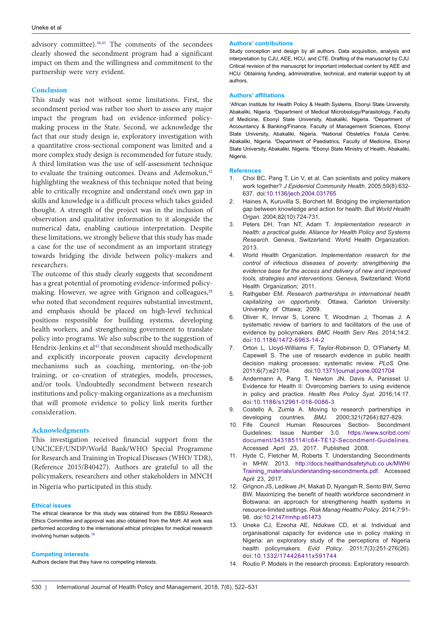advisory committee).<sup>36,[41](#page-9-22)</sup> The comments of the secondees clearly showed the secondment program had a significant impact on them and the willingness and commitment to the partnership were very evident.

#### **Conclusion**

This study was not without some limitations. First, the secondment period was rather too short to assess any major impact the program had on evidence-informed policymaking process in the State. Second, we acknowledge the fact that our study design ie, exploratory investigation with a quantitative cross-sectional component was limited and a more complex study design is recommended for future study. A third limitation was the use of self-assessment technique to evaluate the training outcomes. Deans and Ademokun,<sup>[42](#page-9-23)</sup> highlighting the weakness of this technique noted that being able to critically recognize and understand one's own gap in skills and knowledge is a difficult process which takes guided thought. A strength of the project was in the inclusion of observation and qualitative information to it alongside the numerical data, enabling cautious interpretation. Despite these limitations, we strongly believe that this study has made a case for the use of secondment as an important strategy towards bridging the divide between policy-makers and researchers.

The outcome of this study clearly suggests that secondment has a great potential of promoting evidence-informed policy-making. However, we agree with Grignon and colleagues,<sup>[28](#page-9-11)</sup> who noted that secondment requires substantial investment, and emphasis should be placed on high-level technical positions responsible for building systems, developing health workers, and strengthening government to translate policy into programs. We also subscribe to the suggestion of Hendrix-Jenkins et al<sup>[43](#page-9-24)</sup> that secondment should methodically and explicitly incorporate proven capacity development mechanisms such as coaching, mentoring, on-the-job training, or co-creation of strategies, models, processes, and/or tools. Undoubtedly secondment between research institutions and policy-making organizations as a mechanism that will promote evidence to policy link merits further consideration.

#### **Acknowledgments**

This investigation received financial support from the UNCICEF/UNDP/World Bank/WHO Special Programme for Research and Training in Tropical Diseases (WHO/ TDR), (Reference 2015/B40427). Authors are grateful to all the policymakers, researchers and other stakeholders in MNCH in Nigeria who participated in this study.

#### **Ethical issues**

The ethical clearance for this study was obtained from the EBSU Research Ethics Committee and approval was also obtained from the MoH. All work was performed according to the international ethical principles for medical research involving human subjects.<sup>18</sup>

#### **Competing interests**

Authors declare that they have no competing interests.

#### **Authors' contributions**

Study conception and design by all authors. Data acquisition, analysis and interpretation by CJU, AEE, HCU, and CTE. Drafting of the manuscript by CJU. Critical revision of the manuscript for important intellectual content by AEE and HCU. Obtaining funding, administrative, technical, and material support by all authors.

#### **Authors' affiliations**

<span id="page-8-3"></span><span id="page-8-2"></span><span id="page-8-1"></span><span id="page-8-0"></span>1 African Institute for Health Policy & Health Systems, Ebonyi State University, Abakaliki, Nigeria. <sup>2</sup>Department of Medical Microbiology/Parasitology, Faculty of Medicine, Ebonyi State University, Abakaliki, Nigeria. 3 Department of Accountancy & Banking/Finance, Faculty of Management Sciences, Ebonyi State University, Abakaliki, Nigeria. 4 National Obstetrics Fistula Centre, Abakaliki, Nigeria. <sup>5</sup>Department of Paediatrics, Faculty of Medicine, Ebonyi State University, Abakaliki, Nigeria. 6 Ebonyi State Ministry of Health, Abakaliki, Nigeria.

#### <span id="page-8-5"></span><span id="page-8-4"></span>**References**

- <span id="page-8-6"></span>1. Choi BC, Pang T, Lin V, et al. Can scientists and policy makers work together? *J Epidemiol Community Health*. 2005;59(8):632- 637. doi:[10.1136/jech.2004.031765](http://dx.doi.org/10.1136/jech.2004.031765)
- <span id="page-8-7"></span>2. Haines A, Kuruvilla S, Borchert M. Bridging the implementation gap between knowledge and action for health. *Bull World Health Organ*. 2004;82(10):724-731.
- <span id="page-8-8"></span>3. Peters DH, Tran NT, Adam T. *Implementation research in health: a practical guide. Alliance for Health Policy and Systems Research*. Geneva, Switzerland: World Health Organization. 2013.
- <span id="page-8-16"></span>4. World Health Organization. *Implementation research for the control of infectious diseases of poverty: strengthening the evidence base for the access and delivery of new and improved tools, strategies and interventions*. Geneva, Switzerland: World Health Organization; 2011.
- 5. Rathgeber EM. *Research partnerships in international health capitalizing on opportunity*. Ottawa, Carleton University: University of Ottawa; 2009.
- 6. Oliver K, Innvar S, Lorenc T, Woodman J, Thomas J. A systematic review of barriers to and facilitators of the use of evidence by policymakers. *BMC Health Serv Res*. 2014;14:2. doi[:10.1186/1472-6963-14-2](http://dx.doi.org/10.1186/1472-6963-14-2)
- 7. Orton L, Lloyd-Williams F, Taylor-Robinson D, O'Flaherty M, Capewell S. The use of research evidence in public health decision making processes: systematic review. *PLoS One.*<br>2011;6(7):e21704. doi:10.1371/journal.pone.0021704 2011;6(7):e21704. doi[:10.1371/journal.pone.0021704](http://dx.doi.org/10.1371/journal.pone.0021704)
- <span id="page-8-9"></span>8. Andermann A, Pang T, Newton JN, Davis A, Panisset U. Evidence for Health II: Overcoming barriers to using evidence in policy and practice. *Health Res Policy Syst*. 2016;14:17. doi:[10.1186/s12961-016-0086-3](http://dx.doi.org/10.1186/s12961-016-0086-3)
- <span id="page-8-10"></span>Costello A, Zumla A. Moving to research partnerships in developing countries. *BMJ*. 2000;321(7264):827-829.
- <span id="page-8-11"></span>10. Fife Council Human Resources Section- Secondment Guidelines: Issue Number 3.0. [https://www.scribd.com/](https://www.scribd.com/document/343185114/c64-TE12-Secondment-Guidelines) [document/343185114/c64-TE12-Secondment-Guidelines.](https://www.scribd.com/document/343185114/c64-TE12-Secondment-Guidelines) Accessed April 23, 2017. Published 2008.
- <span id="page-8-12"></span>11. Hyde C, Fletcher M, Roberts T. Understanding Secondments in MHW. 2013. [http://docs.healthandsafetyhub.co.uk/MWH/](http://docs.healthandsafetyhub.co.uk/MWH/Training_materials/understanding-secondments.pdf) [Training\\_materials/understanding-secondments.pdf](http://docs.healthandsafetyhub.co.uk/MWH/Training_materials/understanding-secondments.pdf). Accessed April 23, 2017.
- <span id="page-8-13"></span>12. Grignon JS, Ledikwe JH, Makati D, Nyangah R, Sento BW, Semo BW. Maximizing the benefit of health workforce secondment in Botswana: an approach for strengthening health systems in resource-limited settings. *Risk Manag Healthc Policy*. 2014;7:91- 98. doi:[10.2147/rmhp.s61473](http://dx.doi.org/10.2147/rmhp.s61473)
- <span id="page-8-14"></span>13. Uneke CJ, Ezeoha AE, Ndukwe CD, et al. Individual and organisational capacity for evidence use in policy making in Nigeria: an exploratory study of the perceptions of Nigeria health policymakers. *Evid Policy*. 2011;7(3):251-276(26). doi:[10.1332/174426411x591744](http://dx.doi.org/10.1332/174426411x591744)
- <span id="page-8-15"></span>14. Routio P. Models in the research process: Exploratory research.